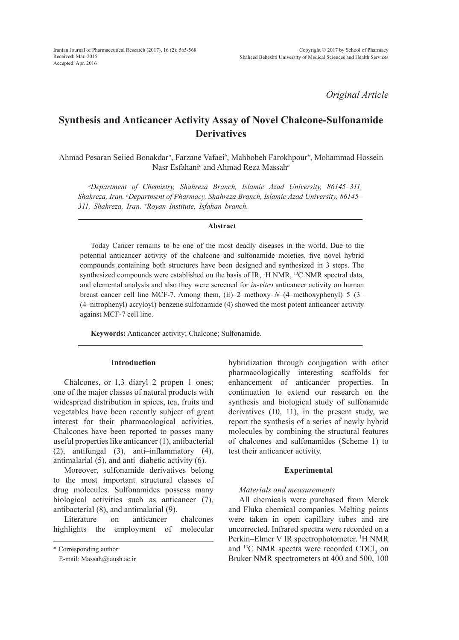*Original Article*

# **Synthesis and Anticancer Activity Assay of Novel Chalcone-Sulfonamide Derivatives**

Ahmad Pesaran Seiied Bonakdar*<sup>a</sup>* , Farzane Vafaei*<sup>b</sup>* , Mahbobeh Farokhpour*<sup>b</sup>* , Mohammad Hossein Nasr Esfahani*<sup>c</sup>* and Ahmad Reza Massah*<sup>a</sup>*

*a Department of Chemistry, Shahreza Branch, Islamic Azad University, 86145–311, Shahreza, Iran. b Department of Pharmacy, Shahreza Branch, Islamic Azad University, 86145– 311, Shahreza, Iran. c Royan Institute, Isfahan branch.*

#### **Abstract**

Today Cancer remains to be one of the most deadly diseases in the world. Due to the potential anticancer activity of the chalcone and sulfonamide moieties, five novel hybrid compounds containing both structures have been designed and synthesized in 3 steps. The synthesized compounds were established on the basis of IR,  $^1$ H NMR,  $^13$ C NMR spectral data, and elemental analysis and also they were screened for *in-vitro* anticancer activity on human breast cancer cell line MCF-7. Among them, (E)–2–methoxy–*N*–(4–methoxyphenyl)–5–(3– (4–nitrophenyl) acryloyl) benzene sulfonamide (4) showed the most potent anticancer activity against MCF-7 cell line.

**Keywords:** Anticancer activity; Chalcone; Sulfonamide.

# **Introduction**

Chalcones, or 1,3–diaryl–2–propen–1–ones; one of the major classes of natural products with widespread distribution in spices, tea, fruits and vegetables have been recently subject of great interest for their pharmacological activities. Chalcones have been reported to posses many useful properties like anticancer (1), antibacterial (2), antifungal (3), anti–inflammatory (4), antimalarial (5), and anti–diabetic activity (6).

Moreover, sulfonamide derivatives belong to the most important structural classes of drug molecules. Sulfonamides possess many biological activities such as anticancer (7), antibacterial (8), and antimalarial (9).

Literature on anticancer chalcones highlights the employment of molecular hybridization through conjugation with other pharmacologically interesting scaffolds for enhancement of anticancer properties. In continuation to extend our research on the synthesis and biological study of sulfonamide derivatives (10, 11), in the present study, we report the synthesis of a series of newly hybrid molecules by combining the structural features of chalcones and sulfonamides (Scheme 1) to test their anticancer activity.

#### **Experimental**

#### *Materials and measurements*

All chemicals were purchased from Merck and Fluka chemical companies. Melting points were taken in open capillary tubes and are uncorrected. Infrared spectra were recorded on a Perkin–Elmer V IR spectrophotometer. <sup>1</sup>H NMR and <sup>13</sup>C NMR spectra were recorded  $CDCl<sub>3</sub>$  on Bruker NMR spectrometers at 400 and 500, 100

<sup>\*</sup> Corresponding author:

E-mail: Massah@iaush.ac.ir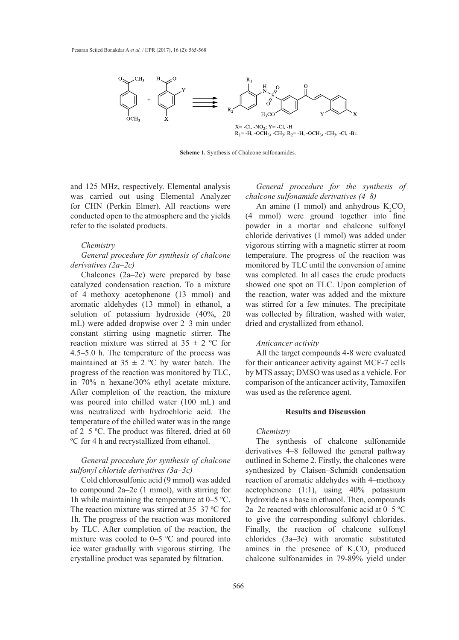

**Scheme 1.** Synthesis of Chalcone sulfonamides.

and 125 MHz, respectively. Elemental analysis was carried out using Elemental Analyzer chale for CHN (Perkin Elmer). All reactions were conducted open to the atmosphere and the yields refer to the isolated products.

### *Chemistry*

## *General procedure for synthesis of chalcone derivatives (2a–2c)*

Chalcones (2a–2c) were prepared by base catalyzed condensation reaction. To a mixture of 4–methoxy acetophenone (13 mmol) and aromatic aldehydes (13 mmol) in ethanol, a solution of potassium hydroxide (40%, 20 mL) were added dropwise over 2–3 min under constant stirring using magnetic stirrer. The reaction mixture was stirred at  $35 \pm 2$  °C for 4.5–5.0 h. The temperature of the process was maintained at  $35 \pm 2$  °C by water batch. The progress of the reaction was monitored by TLC, in 70% n–hexane/30% ethyl acetate mixture. After completion of the reaction, the mixture was poured into chilled water (100 mL) and was neutralized with hydrochloric acid. The temperature of the chilled water was in the range of 2–5 ºC. The product was filtered, dried at 60 ºC for 4 h and recrystallized from ethanol.

# *General procedure for synthesis of chalcone sulfonyl chloride derivatives (3a–3c)*

Cold chlorosulfonic acid (9 mmol) was added to compound 2a–2c (1 mmol), with stirring for 1h while maintaining the temperature at 0–5 ºC. The reaction mixture was stirred at 35–37 ºC for 1h. The progress of the reaction was monitored by TLC. After completion of the reaction, the mixture was cooled to 0–5 ºC and poured into ice water gradually with vigorous stirring. The crystalline product was separated by filtration.

*General procedure for the synthesis of chalcone sulfonamide derivatives (4–8)*

An amine (1 mmol) and anhydrous  $K_2CO_3$ (4 mmol) were ground together into fine powder in a mortar and chalcone sulfonyl chloride derivatives (1 mmol) was added under vigorous stirring with a magnetic stirrer at room temperature. The progress of the reaction was monitored by TLC until the conversion of amine was completed. In all cases the crude products showed one spot on TLC. Upon completion of the reaction, water was added and the mixture was stirred for a few minutes. The precipitate was collected by filtration, washed with water, dried and crystallized from ethanol.

#### *Anticancer activity*

All the target compounds 4-8 were evaluated for their anticancer activity against MCF-7 cells by MTS assay; DMSO was used as a vehicle. For comparison of the anticancer activity, Tamoxifen was used as the reference agent.

## **Results and Discussion**

### *Chemistry*

The synthesis of chalcone sulfonamide derivatives 4–8 followed the general pathway outlined in Scheme 2. Firstly, the chalcones were synthesized by Claisen–Schmidt condensation reaction of aromatic aldehydes with 4–methoxy acetophenone (1:1), using 40% potassium hydroxide as a base in ethanol. Then, compounds 2a–2c reacted with chlorosulfonic acid at 0–5 ºC to give the corresponding sulfonyl chlorides. Finally, the reaction of chalcone sulfonyl chlorides (3a–3c) with aromatic substituted amines in the presence of  $K_2CO_3$  produced chalcone sulfonamides in 79-89% yield under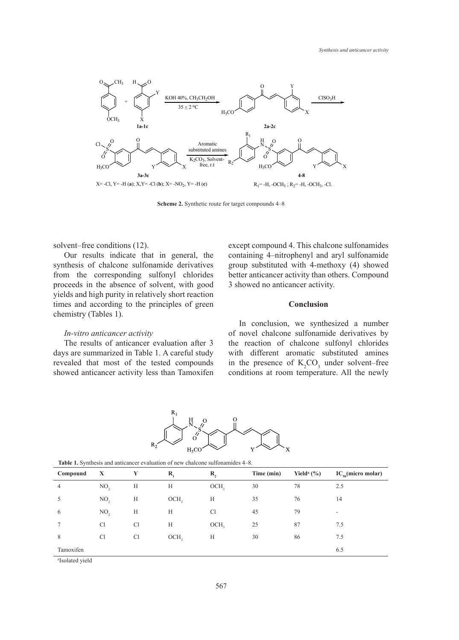

**Scheme 2.** Synthetic route for target compounds 4–8 **Scheme 2.** Synthetic route for target compounds 4–8

solvent–free conditions (12).

from the corresponding sulfonyl chlorides yields and high purity in relatively short reaction chemistry (Tables 1). times and according to the principles of green **Conclusion** Our results indicate that in general, the synthesis of chalcone sulfonamide derivatives proceeds in the absence of solvent, with good

## *In-vitro anticancer activity*

The results of anticancer evaluation after 3 days are summarized in Table 1. A careful study revealed that most of the tested compounds showed anticancer activity less than Tamoxifen

-free conditions (12). except compound 4. This chalcone sulfonamides results indicate that in general, the containing 4–nitrophenyl and aryl sulfonamide group substituted with 4-methoxy (4) showed better anticancer activity than others. Compound 3 showed no anticancer activity.

#### **Conclusion**

tro anticancer activity anticancer activity of novel chalcone sulfonamide derivatives by In conclusion, we synthesized a number the reaction of chalcone sulfonyl chlorides with different aromatic substituted amines in the presence of  $K_2CO_3$  under solvent–free conditions at room temperature. All the newly



| Compound  | $\mathbf{X}$    | Y              | $\mathbf{R}_{i}$ | R,               | Time (min) | Yield <sup>a</sup> $(\% )$ | $IC_{50}$ (micro molar) |
|-----------|-----------------|----------------|------------------|------------------|------------|----------------------------|-------------------------|
| 4         | NO <sub>2</sub> | H              | Н                | OCH <sub>2</sub> | 30         | 78                         | 2.5                     |
|           | NO <sub>2</sub> | H              | OCH,             | H                | 35         | 76                         | 14                      |
| 6         | NO <sub>2</sub> | H              | H                | <b>Cl</b>        | 45         | 79                         | ۰                       |
|           | <b>Cl</b>       | <sup>C</sup> l | Н                | OCH <sub>2</sub> | 25         | 87                         | 7.5                     |
| 8         | C <sub>1</sub>  | C <sub>1</sub> | OCH <sub>2</sub> | H                | 30         | 86                         | 7.5                     |
| Tamoxifen |                 |                |                  |                  |            |                            | 6.5                     |

**Table 1.** Synthesis and anticancer evaluation of new chalcone sulfonamides 4–8.

a Isolated yield